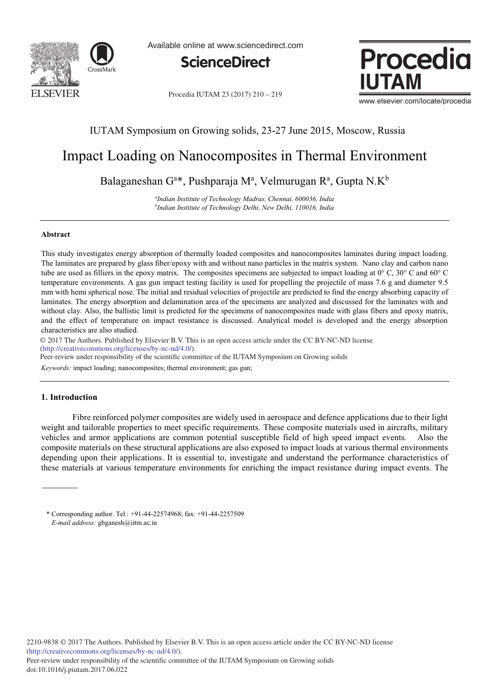

Available online at www.sciencedirect.com



Procedia IUTAM 23 (2017) 210 - 219



www.elsevier.com/locate/procedia

# IUTAM Symposium on Growing solids, 23-27 June 2015, Moscow, Russia

# Impact Loading on Nanocomposites in Thermal Environment

Balaganeshan G<sup>a\*</sup>, Pushparaja Mª, Velmurugan Rª, Gupta N.K<sup>b</sup>

*a Indian Institute of Technology Madras, Chennai, 600036, India b Indian Institute of Technology Delhi, New Delhi, 110016, India*

### **Abstract**

This study investigates energy absorption of thermally loaded composites and nanocomposites laminates during impact loading. The laminates are prepared by glass fiber/epoxy with and without nano particles in the matrix system. Nano clay and carbon nano tube are used as filliers in the epoxy matrix. The composites specimens are subjected to impact loading at  $0^{\circ}$  C,  $30^{\circ}$  C and  $60^{\circ}$  C temperature environments. A gas gun impact testing facility is used for propelling the projectile of mass 7.6 g and diameter 9.5 mm with hemi spherical nose. The initial and residual velocities of projectile are predicted to find the energy absorbing capacity of laminates. The energy absorption and delamination area of the specimens are analyzed and discussed for the laminates with and without clay. Also, the ballistic limit is predicted for the specimens of nanocomposites made with glass fibers and epoxy matrix, and the effect of temperature on impact resistance is discussed. Analytical model is developed and the energy absorption characteristics are also studied.

© 2017 The Authors. Published by Elsevier B.V. © 2017 The Authors. Published by Elsevier B.V. This is an open access article under the CC BY-NC-ND license (http://creativecommons.org/licenses/by-nc-nd/4.0/).

Peer-review under responsibility of the scientific committee of the IUTAM Symposium on Growing solids

*Keywords:* impact loading; nanocomposites; thermal environment; gas gun;

# **1. Introduction**

 Fibre reinforced polymer composites are widely used in aerospace and defence applications due to their light weight and tailorable properties to meet specific requirements. These composite materials used in aircrafts, military vehicles and armor applications are common potential susceptible field of high speed impact events. Also the composite materials on these structural applications are also exposed to impact loads at various thermal environments depending upon their applications. It is essential to, investigate and understand the performance characteristics of these materials at various temperature environments for enriching the impact resistance during impact events. The

<sup>\*</sup> Corresponding author. Tel.: +91-44-22574968; fax: +91-44-2257509 *E-mail address:* gbganesh@iitm.ac.in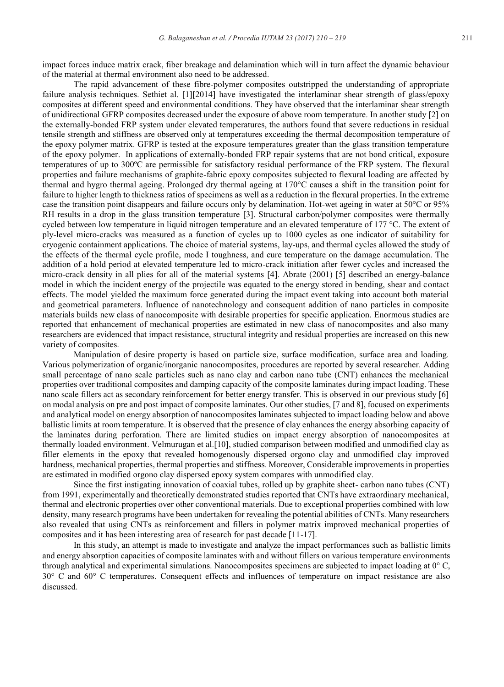impact forces induce matrix crack, fiber breakage and delamination which will in turn affect the dynamic behaviour of the material at thermal environment also need to be addressed.

The rapid advancement of these fibre-polymer composites outstripped the understanding of appropriate failure analysis techniques. Sethiet al. [1][2014] have investigated the interlaminar shear strength of glass/epoxy composites at different speed and environmental conditions. They have observed that the interlaminar shear strength of unidirectional GFRP composites decreased under the exposure of above room temperature. In another study [2] on the externally-bonded FRP system under elevated temperatures, the authors found that severe reductions in residual tensile strength and stiffness are observed only at temperatures exceeding the thermal decomposition temperature of the epoxy polymer matrix. GFRP is tested at the exposure temperatures greater than the glass transition temperature of the epoxy polymer. In applications of externally-bonded FRP repair systems that are not bond critical, exposure temperatures of up to 300ºC are permissible for satisfactory residual performance of the FRP system. The flexural properties and failure mechanisms of graphite-fabric epoxy composites subjected to flexural loading are affected by thermal and hygro thermal ageing. Prolonged dry thermal ageing at 170°C causes a shift in the transition point for failure to higher length to thickness ratios of specimens as well as a reduction in the flexural properties. In the extreme case the transition point disappears and failure occurs only by delamination. Hot-wet ageing in water at 50°C or 95% RH results in a drop in the glass transition temperature [3]. Structural carbon/polymer composites were thermally cycled between low temperature in liquid nitrogen temperature and an elevated temperature of 177 °C. The extent of ply-level micro-cracks was measured as a function of cycles up to 1000 cycles as one indicator of suitability for cryogenic containment applications. The choice of material systems, lay-ups, and thermal cycles allowed the study of the effects of the thermal cycle profile, mode I toughness, and cure temperature on the damage accumulation. The addition of a hold period at elevated temperature led to micro-crack initiation after fewer cycles and increased the micro-crack density in all plies for all of the material systems [4]. Abrate (2001) [5] described an energy-balance model in which the incident energy of the projectile was equated to the energy stored in bending, shear and contact effects. The model yielded the maximum force generated during the impact event taking into account both material and geometrical parameters. Influence of nanotechnology and consequent addition of nano particles in composite materials builds new class of nanocomposite with desirable properties for specific application. Enormous studies are reported that enhancement of mechanical properties are estimated in new class of nanocomposites and also many researchers are evidenced that impact resistance, structural integrity and residual properties are increased on this new variety of composites.

Manipulation of desire property is based on particle size, surface modification, surface area and loading. Various polymerization of organic/inorganic nanocomposites, procedures are reported by several researcher. Adding small percentage of nano scale particles such as nano clay and carbon nano tube (CNT) enhances the mechanical properties over traditional composites and damping capacity of the composite laminates during impact loading. These nano scale fillers act as secondary reinforcement for better energy transfer. This is observed in our previous study [6] on modal analysis on pre and post impact of composite laminates. Our other studies, [7 and 8], focused on experiments and analytical model on energy absorption of nanocomposites laminates subjected to impact loading below and above ballistic limits at room temperature. It is observed that the presence of clay enhances the energy absorbing capacity of the laminates during perforation. There are limited studies on impact energy absorption of nanocomposites at thermally loaded environment. Velmurugan et al.[10], studied comparison between modified and unmodified clay as filler elements in the epoxy that revealed homogenously dispersed orgono clay and unmodified clay improved hardness, mechanical properties, thermal properties and stiffness. Moreover, Considerable improvements in properties are estimated in modified orgono clay dispersed epoxy system compares with unmodified clay.

 Since the first instigating innovation of coaxial tubes, rolled up by graphite sheet- carbon nano tubes (CNT) from 1991, experimentally and theoretically demonstrated studies reported that CNTs have extraordinary mechanical, thermal and electronic properties over other conventional materials. Due to exceptional properties combined with low density, many research programs have been undertaken for revealing the potential abilities of CNTs. Many researchers also revealed that using CNTs as reinforcement and fillers in polymer matrix improved mechanical properties of composites and it has been interesting area of research for past decade [11-17].

In this study, an attempt is made to investigate and analyze the impact performances such as ballistic limits and energy absorption capacities of composite laminates with and without fillers on various temperature environments through analytical and experimental simulations. Nanocomposites specimens are subjected to impact loading at 0° C, 30° C and 60° C temperatures. Consequent effects and influences of temperature on impact resistance are also discussed.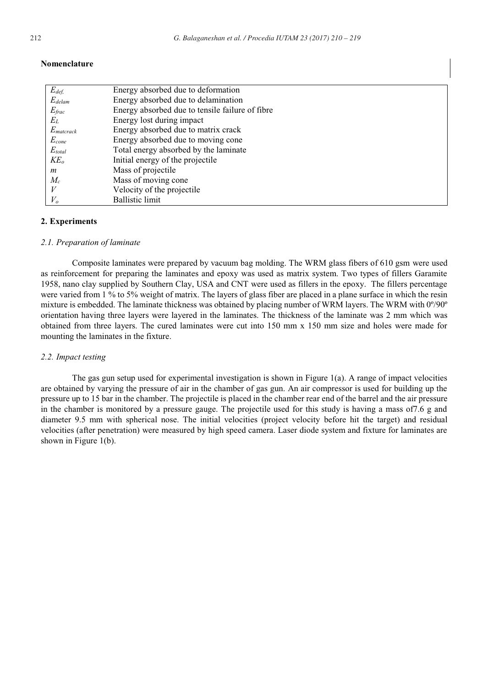| Nomenclature |  |
|--------------|--|
|--------------|--|

| $E_{def,}$               | Energy absorbed due to deformation              |
|--------------------------|-------------------------------------------------|
| $E_{\text{delam}}$       | Energy absorbed due to delamination             |
| $E_{frac}$               | Energy absorbed due to tensile failure of fibre |
| $E_L$                    | Energy lost during impact                       |
| $E_{\textit{matterack}}$ | Energy absorbed due to matrix crack             |
| $E_{cone}$               | Energy absorbed due to moving cone              |
| $E_{total}$              | Total energy absorbed by the laminate           |
| $KE_o$                   | Initial energy of the projectile                |
| m                        | Mass of projectile                              |
| $M_c$                    | Mass of moving cone                             |
| V                        | Velocity of the projectile                      |
| $V_o$                    | <b>Ballistic limit</b>                          |

# **2. Experiments**

#### *2.1. Preparation of laminate*

Composite laminates were prepared by vacuum bag molding. The WRM glass fibers of 610 gsm were used as reinforcement for preparing the laminates and epoxy was used as matrix system. Two types of fillers Garamite 1958, nano clay supplied by Southern Clay, USA and CNT were used as fillers in the epoxy. The fillers percentage were varied from 1 % to 5% weight of matrix. The layers of glass fiber are placed in a plane surface in which the resin mixture is embedded. The laminate thickness was obtained by placing number of WRM layers. The WRM with 0º/90º orientation having three layers were layered in the laminates. The thickness of the laminate was 2 mm which was obtained from three layers. The cured laminates were cut into 150 mm x 150 mm size and holes were made for mounting the laminates in the fixture.

### *2.2. Impact testing*

The gas gun setup used for experimental investigation is shown in Figure 1(a). A range of impact velocities are obtained by varying the pressure of air in the chamber of gas gun. An air compressor is used for building up the pressure up to 15 bar in the chamber. The projectile is placed in the chamber rear end of the barrel and the air pressure in the chamber is monitored by a pressure gauge. The projectile used for this study is having a mass of7.6 g and diameter 9.5 mm with spherical nose. The initial velocities (project velocity before hit the target) and residual velocities (after penetration) were measured by high speed camera. Laser diode system and fixture for laminates are shown in Figure 1(b).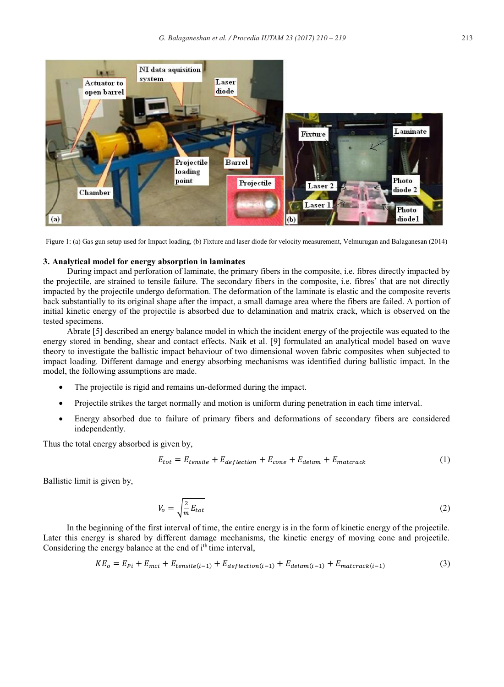

Figure 1: (a) Gas gun setup used for Impact loading, (b) Fixture and laser diode for velocity measurement, Velmurugan and Balaganesan (2014)

# **3. Analytical model for energy absorption in laminates**

During impact and perforation of laminate, the primary fibers in the composite, i.e. fibres directly impacted by the projectile, are strained to tensile failure. The secondary fibers in the composite, i.e. fibres' that are not directly impacted by the projectile undergo deformation. The deformation of the laminate is elastic and the composite reverts back substantially to its original shape after the impact, a small damage area where the fibers are failed. A portion of initial kinetic energy of the projectile is absorbed due to delamination and matrix crack, which is observed on the tested specimens.

Abrate [5] described an energy balance model in which the incident energy of the projectile was equated to the energy stored in bending, shear and contact effects. Naik et al. [9] formulated an analytical model based on wave theory to investigate the ballistic impact behaviour of two dimensional woven fabric composites when subjected to impact loading. Different damage and energy absorbing mechanisms was identified during ballistic impact. In the model, the following assumptions are made.

- The projectile is rigid and remains un-deformed during the impact.
- Projectile strikes the target normally and motion is uniform during penetration in each time interval.
- Energy absorbed due to failure of primary fibers and deformations of secondary fibers are considered independently.

Thus the total energy absorbed is given by,

$$
E_{tot} = E_{tensile} + E_{deflection} + E_{cone} + E_{delam} + E_{matcrack}
$$
 (1)

Ballistic limit is given by,

$$
V_o = \sqrt{\frac{2}{m} E_{tot}} \tag{2}
$$

In the beginning of the first interval of time, the entire energy is in the form of kinetic energy of the projectile. Later this energy is shared by different damage mechanisms, the kinetic energy of moving cone and projectile. Considering the energy balance at the end of i<sup>th</sup> time interval,

$$
KE_o = E_{Pi} + E_{mci} + E_{tensile(i-1)} + E_{deflection(i-1)} + E_{delam(i-1)} + E_{matcrack(i-1)}
$$
\n(3)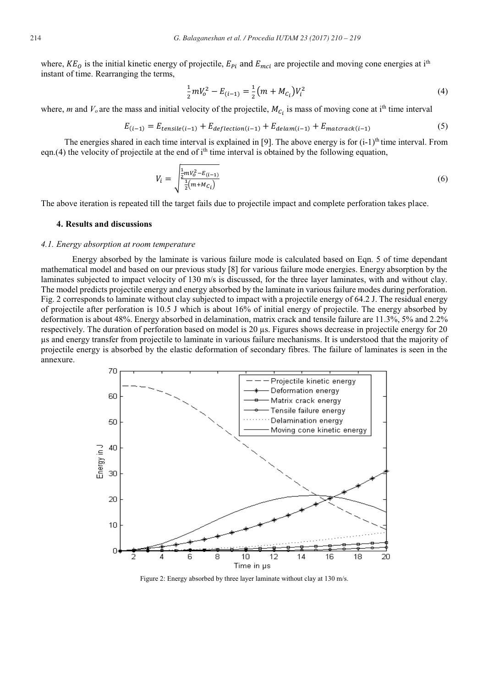where,  $KE_O$  is the initial kinetic energy of projectile,  $E_{pi}$  and  $E_{mid}$  are projectile and moving cone energies at i<sup>th</sup> instant of time. Rearranging the terms,

$$
\frac{1}{2}mV_o^2 - E_{(i-1)} = \frac{1}{2}(m + M_{C_i})V_i^2
$$
\n(4)

where, *m* and  $V_o$  are the mass and initial velocity of the projectile,  $M_{C_i}$  is mass of moving cone at i<sup>th</sup> time interval

$$
E_{(i-1)} = E_{tensile(i-1)} + E_{deflection(i-1)} + E_{delam(i-1)} + E_{matcrack(i-1)}
$$
(5)

The energies shared in each time interval is explained in [9]. The above energy is for  $(i-1)^{th}$  time interval. From eqn.(4) the velocity of projectile at the end of  $i<sup>th</sup>$  time interval is obtained by the following equation,

$$
V_i = \sqrt{\frac{\frac{1}{2}mV_o^2 - E_{(i-1)}}{\frac{1}{2}(m + Mc_i)}}
$$
(6)

The above iteration is repeated till the target fails due to projectile impact and complete perforation takes place.

# **4. Results and discussions**

### *4.1. Energy absorption at room temperature*

Energy absorbed by the laminate is various failure mode is calculated based on Eqn. 5 of time dependant mathematical model and based on our previous study [8] for various failure mode energies. Energy absorption by the laminates subjected to impact velocity of 130 m/s is discussed, for the three layer laminates, with and without clay. The model predicts projectile energy and energy absorbed by the laminate in various failure modes during perforation. Fig. 2 corresponds to laminate without clay subjected to impact with a projectile energy of 64.2 J. The residual energy of projectile after perforation is 10.5 J which is about 16% of initial energy of projectile. The energy absorbed by deformation is about 48%. Energy absorbed in delamination, matrix crack and tensile failure are 11.3%, 5% and 2.2% respectively. The duration of perforation based on model is 20 μs. Figures shows decrease in projectile energy for 20 μs and energy transfer from projectile to laminate in various failure mechanisms. It is understood that the majority of projectile energy is absorbed by the elastic deformation of secondary fibres. The failure of laminates is seen in the annexure.



Figure 2: Energy absorbed by three layer laminate without clay at 130 m/s.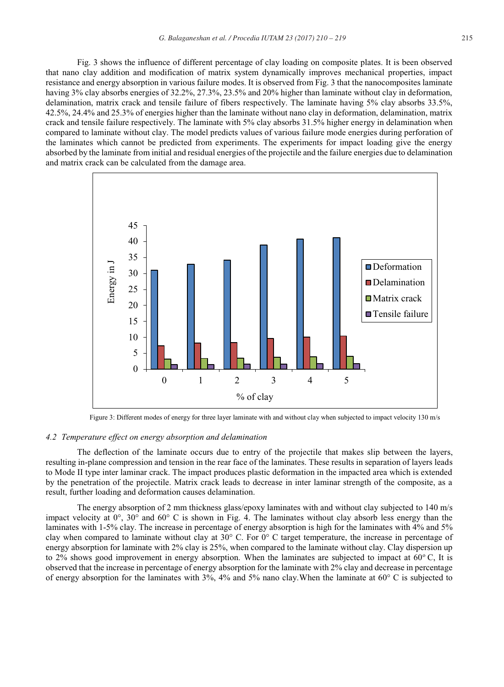Fig. 3 shows the influence of different percentage of clay loading on composite plates. It is been observed that nano clay addition and modification of matrix system dynamically improves mechanical properties, impact resistance and energy absorption in various failure modes. It is observed from Fig. 3 that the nanocomposites laminate having 3% clay absorbs energies of 32.2%, 27.3%, 23.5% and 20% higher than laminate without clay in deformation, delamination, matrix crack and tensile failure of fibers respectively. The laminate having 5% clay absorbs 33.5%, 42.5%, 24.4% and 25.3% of energies higher than the laminate without nano clay in deformation, delamination, matrix crack and tensile failure respectively. The laminate with 5% clay absorbs 31.5% higher energy in delamination when compared to laminate without clay. The model predicts values of various failure mode energies during perforation of the laminates which cannot be predicted from experiments. The experiments for impact loading give the energy absorbed by the laminate from initial and residual energies of the projectile and the failure energies due to delamination and matrix crack can be calculated from the damage area.



Figure 3: Different modes of energy for three layer laminate with and without clay when subjected to impact velocity 130 m/s

# *4.2 Temperature effect on energy absorption and delamination*

The deflection of the laminate occurs due to entry of the projectile that makes slip between the layers, resulting in-plane compression and tension in the rear face of the laminates. These results in separation of layers leads to Mode II type inter laminar crack. The impact produces plastic deformation in the impacted area which is extended by the penetration of the projectile. Matrix crack leads to decrease in inter laminar strength of the composite, as a result, further loading and deformation causes delamination.

The energy absorption of 2 mm thickness glass/epoxy laminates with and without clay subjected to 140 m/s impact velocity at 0°, 30° and 60° C is shown in Fig. 4. The laminates without clay absorb less energy than the laminates with 1-5% clay. The increase in percentage of energy absorption is high for the laminates with 4% and 5% clay when compared to laminate without clay at 30° C. For 0° C target temperature, the increase in percentage of energy absorption for laminate with 2% clay is 25%, when compared to the laminate without clay. Clay dispersion up to 2% shows good improvement in energy absorption. When the laminates are subjected to impact at  $60^{\circ}$ C, It is observed that the increase in percentage of energy absorption for the laminate with 2% clay and decrease in percentage of energy absorption for the laminates with 3%, 4% and 5% nano clay.When the laminate at 60° C is subjected to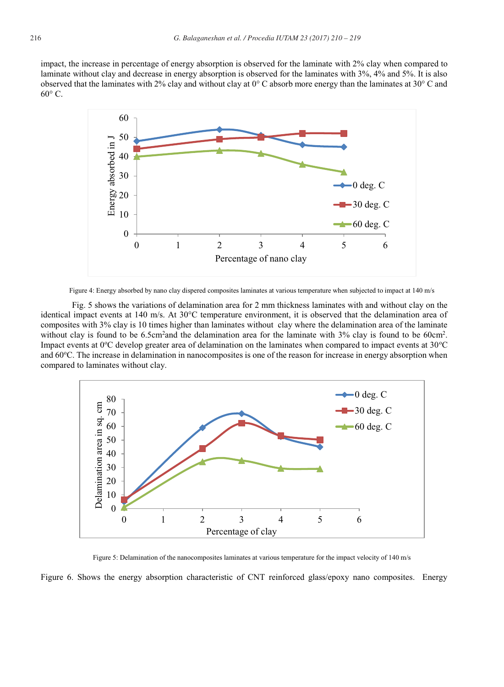impact, the increase in percentage of energy absorption is observed for the laminate with 2% clay when compared to laminate without clay and decrease in energy absorption is observed for the laminates with 3%, 4% and 5%. It is also observed that the laminates with 2% clay and without clay at 0° C absorb more energy than the laminates at 30° C and  $60^{\circ}$  C.



Figure 4: Energy absorbed by nano clay dispered composites laminates at various temperature when subjected to impact at 140 m/s

 Fig. 5 shows the variations of delamination area for 2 mm thickness laminates with and without clay on the identical impact events at 140 m/s. At 30°C temperature environment, it is observed that the delamination area of composites with 3% clay is 10 times higher than laminates without clay where the delamination area of the laminate without clay is found to be  $6.5 \text{cm}^2$  and the delamination area for the laminate with  $3\%$  clay is found to be  $60 \text{cm}^2$ . Impact events at  $0^{\circ}$ C develop greater area of delamination on the laminates when compared to impact events at  $30^{\circ}$ C and 60°C. The increase in delamination in nanocomposites is one of the reason for increase in energy absorption when compared to laminates without clay.



Figure 5: Delamination of the nanocomposites laminates at various temperature for the impact velocity of 140 m/s

Figure 6. Shows the energy absorption characteristic of CNT reinforced glass/epoxy nano composites. Energy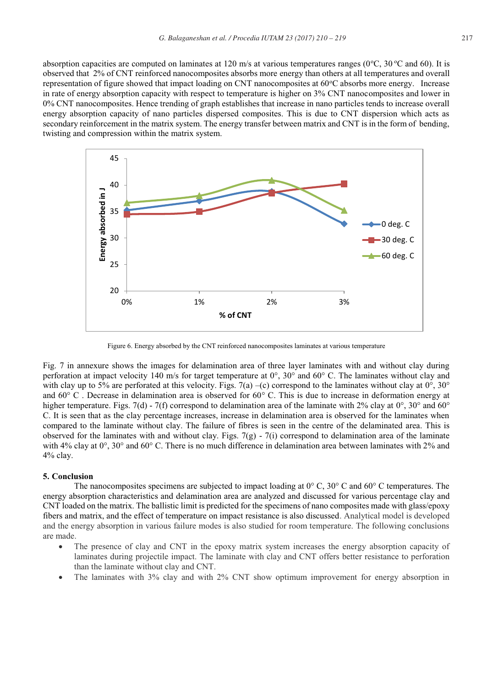absorption capacities are computed on laminates at 120 m/s at various temperatures ranges ( $0^{\circ}$ C,  $30^{\circ}$ C and 60). It is observed that 2% of CNT reinforced nanocomposites absorbs more energy than others at all temperatures and overall representation of figure showed that impact loading on CNT nanocomposites at 60°C absorbs more energy. Increase in rate of energy absorption capacity with respect to temperature is higher on 3% CNT nanocomposites and lower in 0% CNT nanocomposites. Hence trending of graph establishes that increase in nano particles tends to increase overall energy absorption capacity of nano particles dispersed composites. This is due to CNT dispersion which acts as secondary reinforcement in the matrix system. The energy transfer between matrix and CNT is in the form of bending, twisting and compression within the matrix system.



Figure 6. Energy absorbed by the CNT reinforced nanocomposites laminates at various temperature

Fig. 7 in annexure shows the images for delamination area of three layer laminates with and without clay during perforation at impact velocity 140 m/s for target temperature at 0°, 30° and 60° C. The laminates without clay and with clay up to 5% are perforated at this velocity. Figs. 7(a) –(c) correspond to the laminates without clay at  $0^\circ$ , 30° and  $60^{\circ}$  C. Decrease in delamination area is observed for  $60^{\circ}$  C. This is due to increase in deformation energy at higher temperature. Figs. 7(d) - 7(f) correspond to delamination area of the laminate with 2% clay at  $0^{\circ}$ , 30° and 60° C. It is seen that as the clay percentage increases, increase in delamination area is observed for the laminates when compared to the laminate without clay. The failure of fibres is seen in the centre of the delaminated area. This is observed for the laminates with and without clay. Figs.  $7(g)$  -  $7(i)$  correspond to delamination area of the laminate with 4% clay at 0°, 30° and 60° C. There is no much difference in delamination area between laminates with 2% and 4% clay.

#### **5. Conclusion**

The nanocomposites specimens are subjected to impact loading at  $0^{\circ}$  C,  $30^{\circ}$  C and  $60^{\circ}$  C temperatures. The energy absorption characteristics and delamination area are analyzed and discussed for various percentage clay and CNT loaded on the matrix. The ballistic limit is predicted for the specimens of nano composites made with glass/epoxy fibers and matrix, and the effect of temperature on impact resistance is also discussed. Analytical model is developed and the energy absorption in various failure modes is also studied for room temperature. The following conclusions are made.

- The presence of clay and CNT in the epoxy matrix system increases the energy absorption capacity of laminates during projectile impact. The laminate with clay and CNT offers better resistance to perforation than the laminate without clay and CNT.
- The laminates with 3% clay and with 2% CNT show optimum improvement for energy absorption in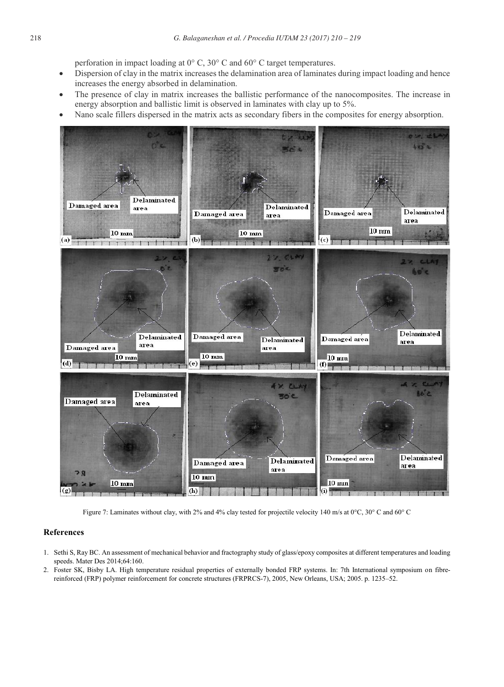perforation in impact loading at 0° C, 30° C and 60° C target temperatures.

- Dispersion of clay in the matrix increases the delamination area of laminates during impact loading and hence increases the energy absorbed in delamination.
- The presence of clay in matrix increases the ballistic performance of the nanocomposites. The increase in energy absorption and ballistic limit is observed in laminates with clay up to 5%.
- x Nano scale fillers dispersed in the matrix acts as secondary fibers in the composites for energy absorption.



Figure 7: Laminates without clay, with 2% and 4% clay tested for projectile velocity 140 m/s at 0°C, 30° C and 60° C

# **References**

- 1. Sethi S, Ray BC. An assessment of mechanical behavior and fractography study of glass/epoxy composites at different temperatures and loading speeds. Mater Des 2014;64:160.
- 2. Foster SK, Bisby LA. High temperature residual properties of externally bonded FRP systems. In: 7th International symposium on fibrereinforced (FRP) polymer reinforcement for concrete structures (FRPRCS-7), 2005, New Orleans, USA; 2005. p. 1235–52.